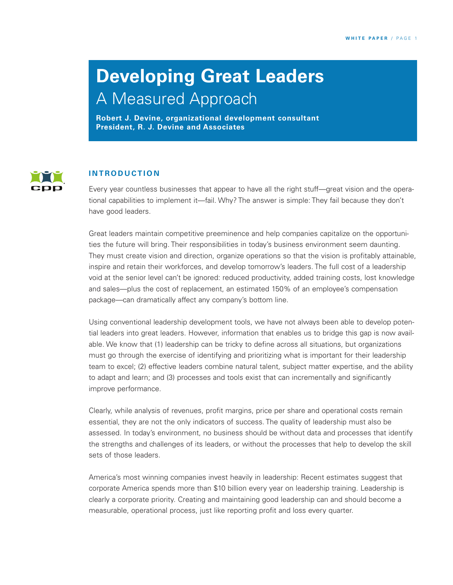# **Developing Great Leaders**

A Measured Approach

**Robert J. Devine, organizational development consultant President, R. J. Devine and Associates**



#### **I N T R O D U C T I O N**

Every year countless businesses that appear to have all the right stuff—great vision and the operational capabilities to implement it—fail. Why? The answer is simple: They fail because they don't have good leaders.

Great leaders maintain competitive preeminence and help companies capitalize on the opportunities the future will bring. Their responsibilities in today's business environment seem daunting. They must create vision and direction, organize operations so that the vision is profitably attainable, inspire and retain their workforces, and develop tomorrow's leaders. The full cost of a leadership void at the senior level can't be ignored: reduced productivity, added training costs, lost knowledge and sales—plus the cost of replacement, an estimated 150% of an employee's compensation package—can dramatically affect any company's bottom line.

Using conventional leadership development tools, we have not always been able to develop potential leaders into great leaders. However, information that enables us to bridge this gap is now available. We know that (1) leadership can be tricky to define across all situations, but organizations must go through the exercise of identifying and prioritizing what is important for their leadership team to excel; (2) effective leaders combine natural talent, subject matter expertise, and the ability to adapt and learn; and (3) processes and tools exist that can incrementally and significantly improve performance.

Clearly, while analysis of revenues, profit margins, price per share and operational costs remain essential, they are not the only indicators of success. The quality of leadership must also be assessed. In today's environment, no business should be without data and processes that identify the strengths and challenges of its leaders, or without the processes that help to develop the skill sets of those leaders.

America's most winning companies invest heavily in leadership: Recent estimates suggest that corporate America spends more than \$10 billion every year on leadership training. Leadership is clearly a corporate priority. Creating and maintaining good leadership can and should become a measurable, operational process, just like reporting profit and loss every quarter.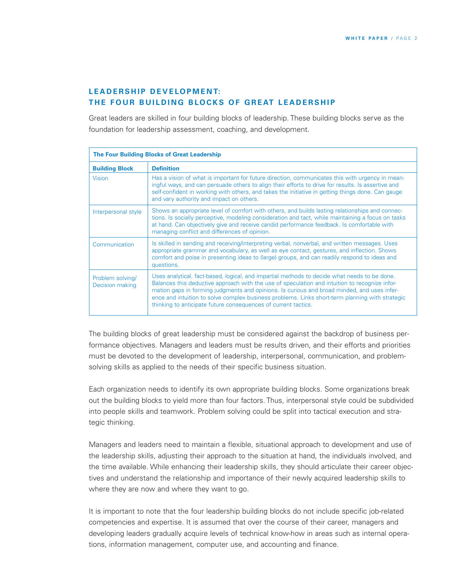## **LEADERSHIP DEVELOPMENT: THE FOUR BUILDING BLOCKS OF GREAT LEADERSHIP**

Great leaders are skilled in four building blocks of leadership. These building blocks serve as the foundation for leadership assessment, coaching, and development.

| <b>The Four Building Blocks of Great Leadership</b> |                                                                                                                                                                                                                                                                                                                                                                                                                                                                    |  |  |  |
|-----------------------------------------------------|--------------------------------------------------------------------------------------------------------------------------------------------------------------------------------------------------------------------------------------------------------------------------------------------------------------------------------------------------------------------------------------------------------------------------------------------------------------------|--|--|--|
| <b>Building Block</b>                               | <b>Definition</b>                                                                                                                                                                                                                                                                                                                                                                                                                                                  |  |  |  |
| <b>Vision</b>                                       | Has a vision of what is important for future direction, communicates this with urgency in mean-<br>ingful ways, and can persuade others to align their efforts to drive for results. Is assertive and<br>self-confident in working with others, and takes the initiative in getting things done. Can gauge<br>and vary authority and impact on others.                                                                                                             |  |  |  |
| Interpersonal style                                 | Shows an appropriate level of comfort with others, and builds lasting relationships and connec-<br>tions. Is socially perceptive, modeling consideration and tact, while maintaining a focus on tasks<br>at hand. Can objectively give and receive candid performance feedback. Is comfortable with<br>managing conflict and differences of opinion.                                                                                                               |  |  |  |
| Communication                                       | Is skilled in sending and receiving/interpreting verbal, nonverbal, and written messages. Uses<br>appropriate grammar and vocabulary, as well as eye contact, gestures, and inflection. Shows<br>comfort and poise in presenting ideas to (large) groups, and can readily respond to ideas and<br>questions.                                                                                                                                                       |  |  |  |
| Problem solving/<br>Decision making                 | Uses analytical, fact-based, logical, and impartial methods to decide what needs to be done.<br>Balances this deductive approach with the use of speculation and intuition to recognize infor-<br>mation gaps in forming judgments and opinions. Is curious and broad minded, and uses infer-<br>ence and intuition to solve complex business problems. Links short-term planning with strategic<br>thinking to anticipate future consequences of current tactics. |  |  |  |

The building blocks of great leadership must be considered against the backdrop of business performance objectives. Managers and leaders must be results driven, and their efforts and priorities must be devoted to the development of leadership, interpersonal, communication, and problemsolving skills as applied to the needs of their specific business situation.

Each organization needs to identify its own appropriate building blocks. Some organizations break out the building blocks to yield more than four factors. Thus, interpersonal style could be subdivided into people skills and teamwork. Problem solving could be split into tactical execution and strategic thinking.

Managers and leaders need to maintain a flexible, situational approach to development and use of the leadership skills, adjusting their approach to the situation at hand, the individuals involved, and the time available. While enhancing their leadership skills, they should articulate their career objectives and understand the relationship and importance of their newly acquired leadership skills to where they are now and where they want to go.

It is important to note that the four leadership building blocks do not include specific job-related competencies and expertise. It is assumed that over the course of their career, managers and developing leaders gradually acquire levels of technical know-how in areas such as internal operations, information management, computer use, and accounting and finance.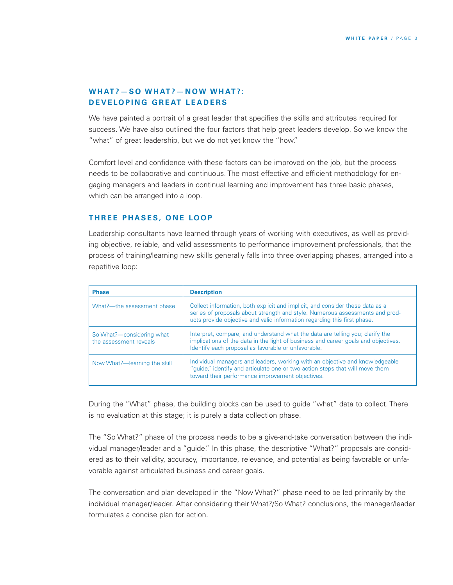## **WHAT? - SO WHAT? - NOW WHAT?: DEVELOPING GREAT LEADERS**

We have painted a portrait of a great leader that specifies the skills and attributes required for success. We have also outlined the four factors that help great leaders develop. So we know the "what" of great leadership, but we do not yet know the "how."

Comfort level and confidence with these factors can be improved on the job, but the process needs to be collaborative and continuous. The most effective and efficient methodology for engaging managers and leaders in continual learning and improvement has three basic phases, which can be arranged into a loop.

#### **THREE PHASES, ONE LOOP**

Leadership consultants have learned through years of working with executives, as well as providing objective, reliable, and valid assessments to performance improvement professionals, that the process of training/learning new skills generally falls into three overlapping phases, arranged into a repetitive loop:

| <b>Phase</b>                                        | <b>Description</b>                                                                                                                                                                                                                        |  |  |  |
|-----------------------------------------------------|-------------------------------------------------------------------------------------------------------------------------------------------------------------------------------------------------------------------------------------------|--|--|--|
| What?---the assessment phase                        | Collect information, both explicit and implicit, and consider these data as a<br>series of proposals about strength and style. Numerous assessments and prod-<br>ucts provide objective and valid information regarding this first phase. |  |  |  |
| So What?—considering what<br>the assessment reveals | Interpret, compare, and understand what the data are telling you; clarify the<br>implications of the data in the light of business and career goals and objectives.<br>Identify each proposal as favorable or unfavorable.                |  |  |  |
| Now What?—learning the skill                        | Individual managers and leaders, working with an objective and knowledgeable<br>"quide," identify and articulate one or two action steps that will move them<br>toward their performance improvement objectives.                          |  |  |  |

During the "What" phase, the building blocks can be used to guide "what" data to collect. There is no evaluation at this stage; it is purely a data collection phase.

The "So What?" phase of the process needs to be a give-and-take conversation between the individual manager/leader and a "guide." In this phase, the descriptive "What?" proposals are considered as to their validity, accuracy, importance, relevance, and potential as being favorable or unfavorable against articulated business and career goals.

The conversation and plan developed in the "Now What?" phase need to be led primarily by the individual manager/leader. After considering their What?/So What? conclusions, the manager/leader formulates a concise plan for action.